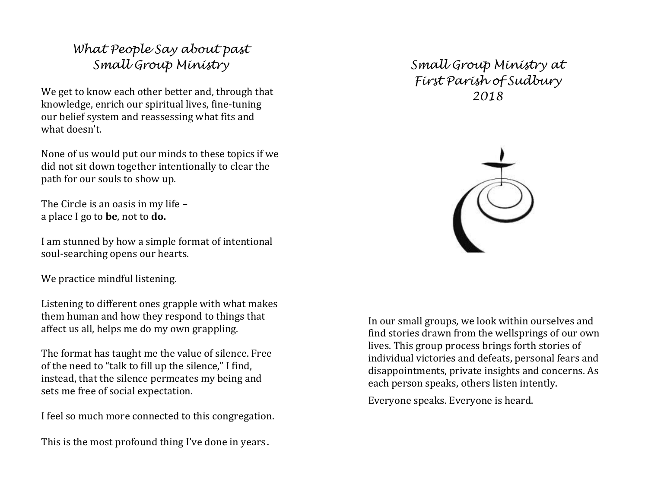## What People Say about past Small Group Ministry

We get to know each other better and, through that knowledge, enrich our spiritual lives, fine-tuning our belief system and reassessing what fits and what doesn't.

None of us would put our minds to these topics if we did not sit down together intentionally to clear the path for our souls to show up.

The Circle is an oasis in my life – a place I go to be, not to do.

I am stunned by how a simple format of intentional soul-searching opens our hearts.

We practice mindful listening.

Listening to different ones grapple with what makesthem human and how they respond to things that affect us all, helps me do my own grappling.

The format has taught me the value of silence. Freeof the need to "talk to fill up the silence," I find, instead, that the silence permeates my being and sets me free of social expectation.

I feel so much more connected to this congregation.

This is the most profound thing I've done in years.

Small Group Ministry at First Parish of Sudbury 2018



In our small groups, we look within ourselves and find stories drawn from the wellsprings of our own lives. This group process brings forth stories of individual victories and defeats, personal fears and disappointments, private insights and concerns. As each person speaks, others listen intently.

Everyone speaks. Everyone is heard.